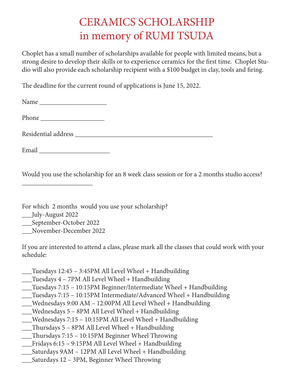## CERAMICS SCHOLARSHIP in memory of RUMI TSUDA

Choplet has a small number of scholarships available for people with limited means, but a strong desire to develop their skills or to experience ceramics for the first time. Choplet Studio will also provide each scholarship recipient with a \$100 budget in clay, tools and firing.

The deadline for the current round of applications is June 15, 2022.

| Email |  |
|-------|--|

Would you use the scholarship for an 8 week class session or for a 2 months studio access?

For which 2 months would you use your scholarship?

- \_\_\_July-August 2022
- \_\_\_September-October 2022

\_\_\_\_\_\_\_\_\_\_\_\_\_\_\_\_\_\_\_\_\_

\_\_\_November-December 2022

If you are interested to attend a class, please mark all the classes that could work with your schedule:

- \_\_\_Tuesdays 12:45 3:45PM All Level Wheel + Handbuilding
- \_\_\_Tuesdays 4 7PM All Level Wheel + Handbuilding
- \_\_\_Tuesdays 7:15 10:15PM Beginner/Intermediate Wheel + Handbuilding
- \_\_\_Tuesdays 7:15 10:15PM Intermediate/Advanced Wheel + Handbuilding
- \_\_\_Wednesdays 9:00 AM 12:00PM All Level Wheel + Handbuilding
- Wednesdays  $5 8$ PM All Level Wheel + Handbuilding
- \_\_\_Wednesdays 7:15 10:15PM All Level Wheel + Handbuilding
- \_\_\_Thursdays 5 8PM All Level Wheel + Handbuilding
- \_\_\_Thursdays 7:15 10:15PM Beginner Wheel Throwing
- \_\_\_Fridays 6:15 9:15PM All Level Wheel + Handbuilding
- \_\_\_Saturdays 9AM 12PM All Level Wheel + Handbuilding
- \_\_\_Saturdays 12 3PM, Beginner Wheel Throwing